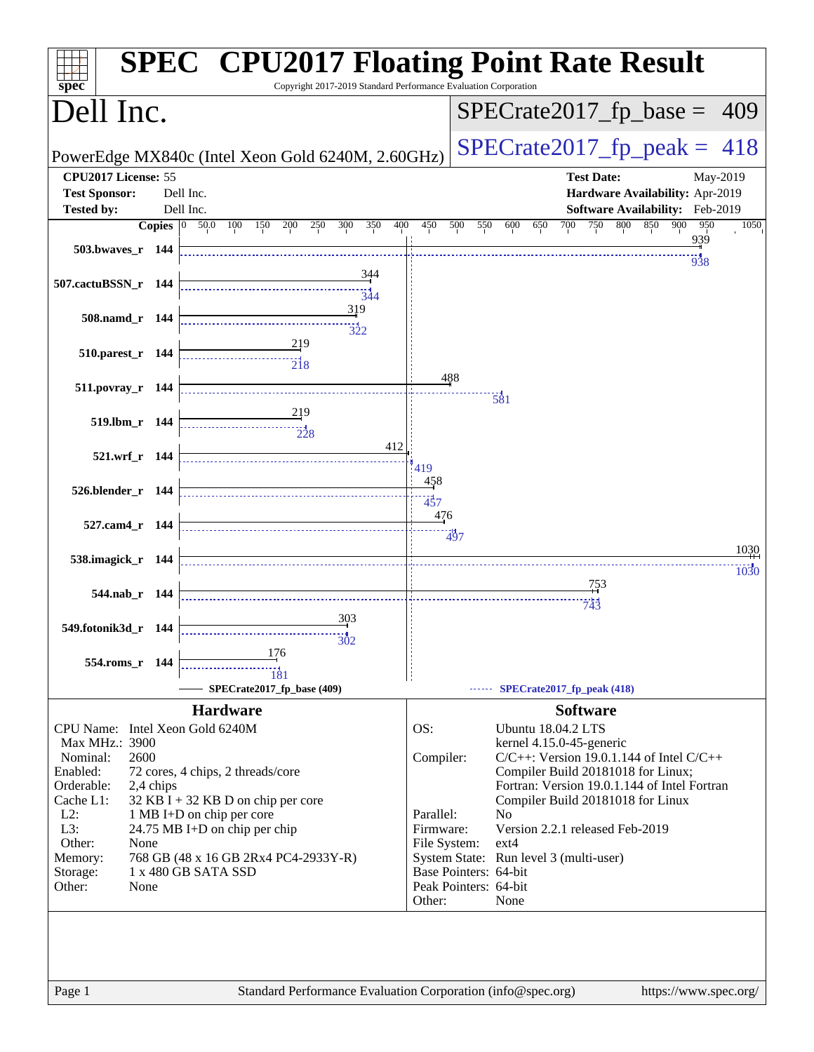|                                                                                                       | <b>SPEC<sup>®</sup> CPU2017 Floating Point Rate Result</b>                        |
|-------------------------------------------------------------------------------------------------------|-----------------------------------------------------------------------------------|
| Copyright 2017-2019 Standard Performance Evaluation Corporation<br>$s\overline{p}$ ec®<br>Dell Inc.   | $SPECrate2017_fp\_base = 409$                                                     |
| PowerEdge MX840c (Intel Xeon Gold 6240M, 2.60GHz)                                                     | $SPECTate2017$ _fp_peak = 418                                                     |
| CPU2017 License: 55                                                                                   | <b>Test Date:</b><br>May-2019                                                     |
| <b>Test Sponsor:</b><br>Dell Inc.                                                                     | Hardware Availability: Apr-2019                                                   |
| <b>Tested by:</b><br>Dell Inc.                                                                        | Software Availability: Feb-2019                                                   |
| 400<br><b>Copies</b> $\begin{bmatrix} 0 & 50.0 & 100 & 150 \end{bmatrix}$<br>200<br>250<br>300<br>350 | 450<br>500<br>550<br>700<br>750<br>800<br>850<br>900<br>950<br>1050<br>600<br>650 |
| 503.bwaves_r 144                                                                                      | <u>939</u>                                                                        |
|                                                                                                       | 938                                                                               |
| 344<br>507.cactuBSSN_r 144                                                                            |                                                                                   |
| 344<br>319                                                                                            |                                                                                   |
| 508.namd_r 144                                                                                        |                                                                                   |
| 322                                                                                                   |                                                                                   |
| 510.parest_r 144                                                                                      |                                                                                   |
| $\overline{218}$                                                                                      | 488                                                                               |
| 511.povray_r 144                                                                                      | $\frac{1}{581}$                                                                   |
|                                                                                                       |                                                                                   |
| 519.lbm_r 144<br>$\frac{1}{228}$                                                                      |                                                                                   |
| 412                                                                                                   |                                                                                   |
| 521.wrf_r 144                                                                                         | 419                                                                               |
|                                                                                                       | 458                                                                               |
| 526.blender_r 144                                                                                     | 437                                                                               |
|                                                                                                       | 476                                                                               |
| 527.cam4_r 144                                                                                        | 7497                                                                              |
| 538.imagick_r 144                                                                                     | 1030                                                                              |
|                                                                                                       | 1030                                                                              |
| 544.nab_r 144                                                                                         | 753                                                                               |
|                                                                                                       | 743                                                                               |
| 303<br>549.fotonik3d_r 144                                                                            |                                                                                   |
| 302                                                                                                   |                                                                                   |
| 176<br>554.roms_r 144                                                                                 |                                                                                   |
| 181<br>SPECrate2017_fp_base (409)                                                                     | $\cdots$ SPECrate2017_fp_peak (418)                                               |
|                                                                                                       |                                                                                   |
| <b>Hardware</b>                                                                                       | <b>Software</b>                                                                   |
| CPU Name: Intel Xeon Gold 6240M<br>Max MHz.: 3900                                                     | OS:<br><b>Ubuntu 18.04.2 LTS</b><br>kernel 4.15.0-45-generic                      |
| 2600<br>Nominal:                                                                                      | Compiler:<br>$C/C++$ : Version 19.0.1.144 of Intel $C/C++$                        |
| Enabled:<br>72 cores, 4 chips, 2 threads/core                                                         | Compiler Build 20181018 for Linux;                                                |
| Orderable:<br>2,4 chips                                                                               | Fortran: Version 19.0.1.144 of Intel Fortran                                      |
| Cache L1:<br>$32$ KB I + 32 KB D on chip per core<br>$L2$ :<br>1 MB I+D on chip per core              | Compiler Build 20181018 for Linux<br>Parallel:<br>N <sub>o</sub>                  |
| L3:<br>24.75 MB I+D on chip per chip                                                                  | Version 2.2.1 released Feb-2019<br>Firmware:                                      |
| Other:<br>None                                                                                        | File System:<br>$ext{4}$                                                          |
| 768 GB (48 x 16 GB 2Rx4 PC4-2933Y-R)<br>Memory:<br>1 x 480 GB SATA SSD                                | System State: Run level 3 (multi-user)<br>Base Pointers: 64-bit                   |
| Storage:<br>Other:<br>None                                                                            | Peak Pointers: 64-bit                                                             |
|                                                                                                       | Other:<br>None                                                                    |
|                                                                                                       |                                                                                   |
|                                                                                                       |                                                                                   |
| Standard Performance Evaluation Corporation (info@spec.org)<br>Page 1                                 | https://www.spec.org/                                                             |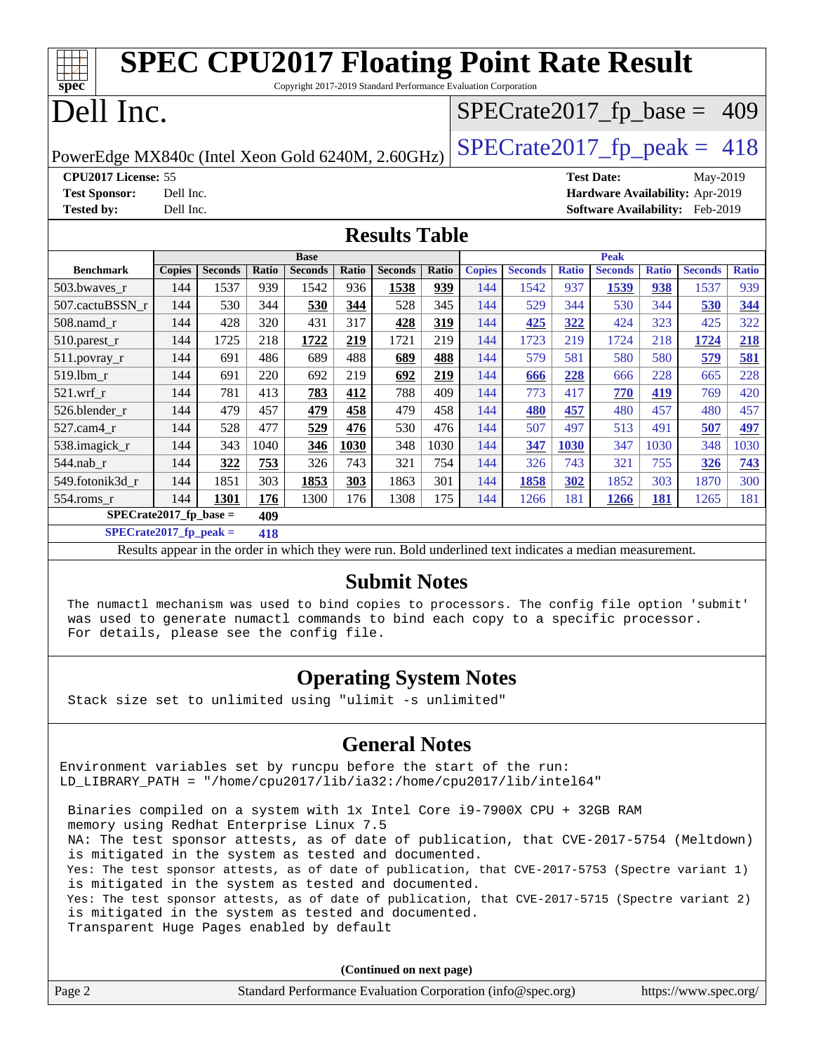| <b>SPEC CPU2017 Floating Point Rate Result</b>                                     |                                  |                |       |                                                                 |       |                |       |               |                |              |                   |              |                                 |              |
|------------------------------------------------------------------------------------|----------------------------------|----------------|-------|-----------------------------------------------------------------|-------|----------------|-------|---------------|----------------|--------------|-------------------|--------------|---------------------------------|--------------|
| spec <sup>®</sup>                                                                  |                                  |                |       | Copyright 2017-2019 Standard Performance Evaluation Corporation |       |                |       |               |                |              |                   |              |                                 |              |
| Dell Inc.<br>$SPECrate2017_fp\_base = 409$                                         |                                  |                |       |                                                                 |       |                |       |               |                |              |                   |              |                                 |              |
| $SPECTate2017$ _fp_peak = 418<br>PowerEdge MX840c (Intel Xeon Gold 6240M, 2.60GHz) |                                  |                |       |                                                                 |       |                |       |               |                |              |                   |              |                                 |              |
| CPU2017 License: 55                                                                |                                  |                |       |                                                                 |       |                |       |               |                |              | <b>Test Date:</b> |              | May-2019                        |              |
| <b>Test Sponsor:</b>                                                               | Dell Inc.                        |                |       |                                                                 |       |                |       |               |                |              |                   |              | Hardware Availability: Apr-2019 |              |
| <b>Tested by:</b>                                                                  | Dell Inc.                        |                |       |                                                                 |       |                |       |               |                |              |                   |              | Software Availability: Feb-2019 |              |
|                                                                                    | <b>Results Table</b>             |                |       |                                                                 |       |                |       |               |                |              |                   |              |                                 |              |
|                                                                                    |                                  |                |       | <b>Base</b>                                                     |       |                |       |               |                |              | <b>Peak</b>       |              |                                 |              |
| <b>Benchmark</b>                                                                   | <b>Copies</b>                    | <b>Seconds</b> | Ratio | <b>Seconds</b>                                                  | Ratio | <b>Seconds</b> | Ratio | <b>Copies</b> | <b>Seconds</b> | <b>Ratio</b> | <b>Seconds</b>    | <b>Ratio</b> | <b>Seconds</b>                  | <b>Ratio</b> |
| 503.bwaves r                                                                       | 144                              | 1537           | 939   | 1542                                                            | 936   | 1538           | 939   | 144           | 1542           | 937          | 1539              | 938          | 1537                            | 939          |
| 507.cactuBSSN r                                                                    | 144                              | 530            | 344   | 530                                                             | 344   | 528            | 345   | 144           | 529            | 344          | 530               | 344          | 530                             | 344          |
| 508.namd_r                                                                         | 144                              | 428            | 320   | 431                                                             | 317   | 428            | 319   | 144           | 425            | 322          | 424               | 323          | 425                             | 322          |
| 510.parest_r                                                                       | 144                              | 1725           | 218   | 1722                                                            | 219   | 1721           | 219   | 144           | 1723           | 219          | 1724              | 218          | 1724                            | 218          |
| 511.povray_r                                                                       | 144                              | 691            | 486   | 689                                                             | 488   | 689            | 488   | 144           | 579            | 581          | 580               | 580          | 579                             | 581          |
| 519.1bm_r                                                                          | 144                              | 691            | 220   | 692                                                             | 219   | 692            | 219   | 144           | 666            | 228          | 666               | 228          | 665                             | 228          |
| $521$ .wrf r                                                                       | 144                              | 781            | 413   | 783                                                             | 412   | 788            | 409   | 144           | 773            | 417          | 770               | 419          | 769                             | 420          |
| 526.blender_r                                                                      | 144                              | 479            | 457   | 479                                                             | 458   | 479            | 458   | 144           | 480            | 457          | 480               | 457          | 480                             | 457          |
| $527$ .cam $4r$                                                                    | 144                              | 528            | 477   | 529                                                             | 476   | 530            | 476   | 144           | 507            | 497          | 513               | 491          | 507                             | 497          |
| 538.imagick r                                                                      | 144                              | 343            | 1040  | 346                                                             | 1030  | 348            | 1030  | 144           | 347            | 1030         | 347               | 1030         | 348                             | 1030         |
| 544.nab r                                                                          | 144                              | 322            | 753   | 326                                                             | 743   | 321            | 754   | 144           | 326            | 743          | 321               | 755          | 326                             | 743          |
| 549.fotonik3d_r                                                                    | 144                              | 1851           | 303   | 1853                                                            | 303   | 1863           | 301   | 144           | 1858           | 302          | 1852              | 303          | 1870                            | 300          |
| 554.roms_r                                                                         | 144                              | 1301           | 176   | 1300                                                            | 176   | 1308           | 175   | 144           | 1266           | 181          | 1266              | 181          | 1265                            | 181          |
| $SPECrate2017$ fp base =                                                           |                                  |                | 409   |                                                                 |       |                |       |               |                |              |                   |              |                                 |              |
|                                                                                    | $SPECrate2017_fp\_peak =$<br>418 |                |       |                                                                 |       |                |       |               |                |              |                   |              |                                 |              |

Results appear in the [order in which they were run](http://www.spec.org/auto/cpu2017/Docs/result-fields.html#RunOrder). Bold underlined text [indicates a median measurement](http://www.spec.org/auto/cpu2017/Docs/result-fields.html#Median).

#### **[Submit Notes](http://www.spec.org/auto/cpu2017/Docs/result-fields.html#SubmitNotes)**

 The numactl mechanism was used to bind copies to processors. The config file option 'submit' was used to generate numactl commands to bind each copy to a specific processor. For details, please see the config file.

### **[Operating System Notes](http://www.spec.org/auto/cpu2017/Docs/result-fields.html#OperatingSystemNotes)**

Stack size set to unlimited using "ulimit -s unlimited"

### **[General Notes](http://www.spec.org/auto/cpu2017/Docs/result-fields.html#GeneralNotes)**

Environment variables set by runcpu before the start of the run: LD\_LIBRARY\_PATH = "/home/cpu2017/lib/ia32:/home/cpu2017/lib/intel64"

 Binaries compiled on a system with 1x Intel Core i9-7900X CPU + 32GB RAM memory using Redhat Enterprise Linux 7.5 NA: The test sponsor attests, as of date of publication, that CVE-2017-5754 (Meltdown) is mitigated in the system as tested and documented. Yes: The test sponsor attests, as of date of publication, that CVE-2017-5753 (Spectre variant 1) is mitigated in the system as tested and documented. Yes: The test sponsor attests, as of date of publication, that CVE-2017-5715 (Spectre variant 2) is mitigated in the system as tested and documented. Transparent Huge Pages enabled by default

**(Continued on next page)**

| Page 2 | Standard Performance Evaluation Corporation (info@spec.org) | https://www.spec.org/ |
|--------|-------------------------------------------------------------|-----------------------|
|        |                                                             |                       |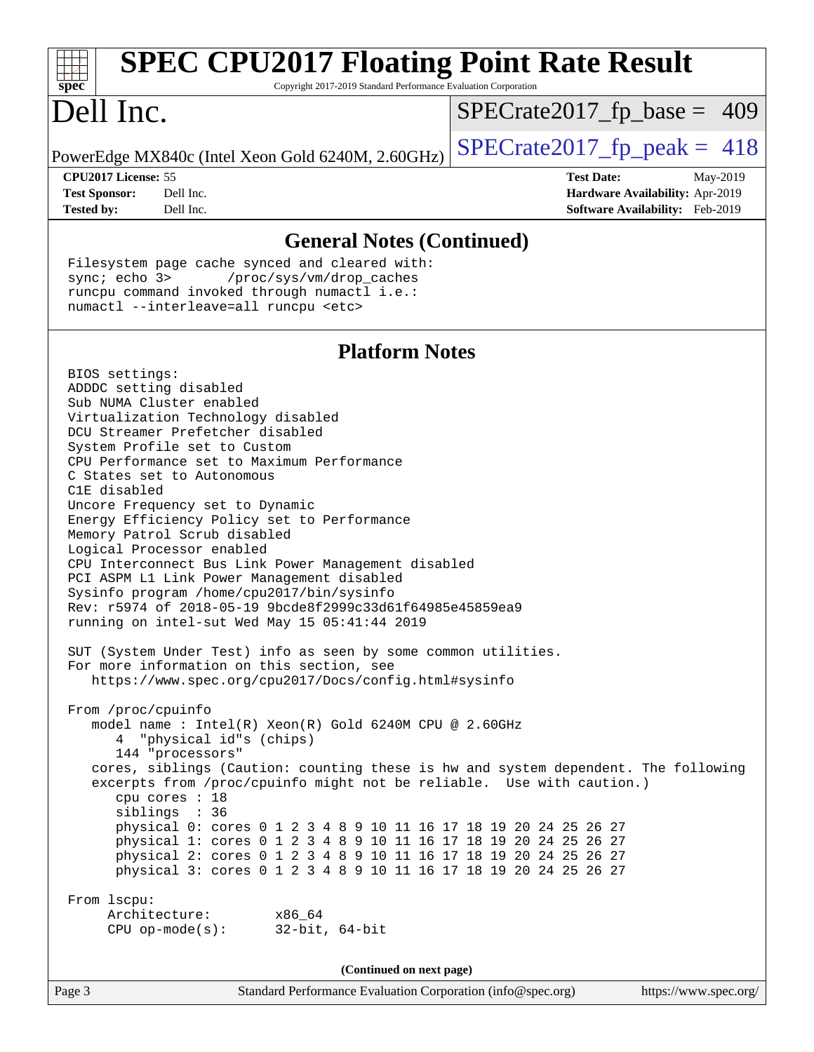| <b>SPEC CPU2017 Floating Point Rate Result</b><br>spec <sup>®</sup><br>Copyright 2017-2019 Standard Performance Evaluation Corporation                                                                                                                                                                                                                                                                                                                                                                                                                                                                                                                                                    |                                                                                                                   |
|-------------------------------------------------------------------------------------------------------------------------------------------------------------------------------------------------------------------------------------------------------------------------------------------------------------------------------------------------------------------------------------------------------------------------------------------------------------------------------------------------------------------------------------------------------------------------------------------------------------------------------------------------------------------------------------------|-------------------------------------------------------------------------------------------------------------------|
| Dell Inc.                                                                                                                                                                                                                                                                                                                                                                                                                                                                                                                                                                                                                                                                                 | $SPECrate2017_fp\_base = 409$                                                                                     |
| PowerEdge MX840c (Intel Xeon Gold 6240M, 2.60GHz)                                                                                                                                                                                                                                                                                                                                                                                                                                                                                                                                                                                                                                         | $SPECrate2017_fp\_peak = 418$                                                                                     |
| CPU2017 License: 55<br>Dell Inc.<br><b>Test Sponsor:</b><br>Dell Inc.<br><b>Tested by:</b>                                                                                                                                                                                                                                                                                                                                                                                                                                                                                                                                                                                                | <b>Test Date:</b><br>May-2019<br><b>Hardware Availability: Apr-2019</b><br><b>Software Availability:</b> Feb-2019 |
| <b>General Notes (Continued)</b>                                                                                                                                                                                                                                                                                                                                                                                                                                                                                                                                                                                                                                                          |                                                                                                                   |
| Filesystem page cache synced and cleared with:<br>sync; echo 3><br>/proc/sys/vm/drop_caches<br>runcpu command invoked through numactl i.e.:<br>numactl --interleave=all runcpu <etc></etc>                                                                                                                                                                                                                                                                                                                                                                                                                                                                                                |                                                                                                                   |
| <b>Platform Notes</b>                                                                                                                                                                                                                                                                                                                                                                                                                                                                                                                                                                                                                                                                     |                                                                                                                   |
| BIOS settings:<br>ADDDC setting disabled<br>Sub NUMA Cluster enabled<br>Virtualization Technology disabled<br>DCU Streamer Prefetcher disabled<br>System Profile set to Custom<br>CPU Performance set to Maximum Performance<br>C States set to Autonomous<br>C1E disabled<br>Uncore Frequency set to Dynamic<br>Energy Efficiency Policy set to Performance<br>Memory Patrol Scrub disabled<br>Logical Processor enabled<br>CPU Interconnect Bus Link Power Management disabled<br>PCI ASPM L1 Link Power Management disabled<br>Sysinfo program /home/cpu2017/bin/sysinfo<br>Rev: r5974 of 2018-05-19 9bcde8f2999c33d61f64985e45859ea9<br>running on intel-sut Wed May 15 05:41:44 2019 |                                                                                                                   |
| SUT (System Under Test) info as seen by some common utilities.<br>For more information on this section, see<br>https://www.spec.org/cpu2017/Docs/config.html#sysinfo                                                                                                                                                                                                                                                                                                                                                                                                                                                                                                                      |                                                                                                                   |

 From /proc/cpuinfo model name : Intel(R) Xeon(R) Gold 6240M CPU @ 2.60GHz 4 "physical id"s (chips) 144 "processors" cores, siblings (Caution: counting these is hw and system dependent. The following excerpts from /proc/cpuinfo might not be reliable. Use with caution.) cpu cores : 18 siblings : 36 physical 0: cores 0 1 2 3 4 8 9 10 11 16 17 18 19 20 24 25 26 27 physical 1: cores 0 1 2 3 4 8 9 10 11 16 17 18 19 20 24 25 26 27 physical 2: cores 0 1 2 3 4 8 9 10 11 16 17 18 19 20 24 25 26 27 physical 3: cores 0 1 2 3 4 8 9 10 11 16 17 18 19 20 24 25 26 27

 From lscpu: Architecture: x86\_64 CPU op-mode(s): 32-bit, 64-bit

**(Continued on next page)**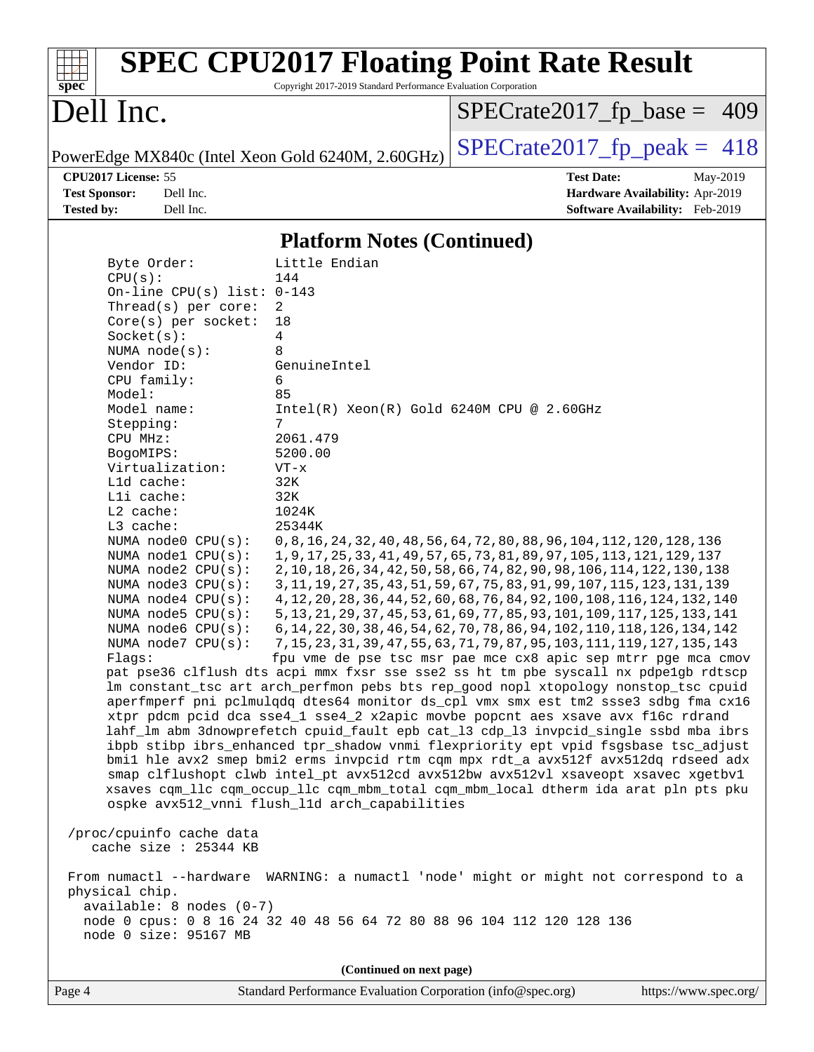| spec <sup>®</sup>                                                                                                            | <b>SPEC CPU2017 Floating Point Rate Result</b><br>Copyright 2017-2019 Standard Performance Evaluation Corporation                                        |                                                                                                                                                                           |
|------------------------------------------------------------------------------------------------------------------------------|----------------------------------------------------------------------------------------------------------------------------------------------------------|---------------------------------------------------------------------------------------------------------------------------------------------------------------------------|
| Dell Inc.                                                                                                                    |                                                                                                                                                          | $SPECrate2017_fp\_base = 409$                                                                                                                                             |
| PowerEdge MX840c (Intel Xeon Gold 6240M, 2.60GHz)                                                                            |                                                                                                                                                          | $SPECrate2017fp peak = 418$                                                                                                                                               |
| CPU2017 License: 55                                                                                                          |                                                                                                                                                          | <b>Test Date:</b><br>May-2019                                                                                                                                             |
| Dell Inc.<br><b>Test Sponsor:</b>                                                                                            |                                                                                                                                                          | Hardware Availability: Apr-2019                                                                                                                                           |
| Dell Inc.<br><b>Tested by:</b>                                                                                               |                                                                                                                                                          | Software Availability: Feb-2019                                                                                                                                           |
|                                                                                                                              | <b>Platform Notes (Continued)</b>                                                                                                                        |                                                                                                                                                                           |
| Byte Order:                                                                                                                  | Little Endian                                                                                                                                            |                                                                                                                                                                           |
| CPU(s):                                                                                                                      | 144                                                                                                                                                      |                                                                                                                                                                           |
| On-line CPU(s) list: $0-143$                                                                                                 |                                                                                                                                                          |                                                                                                                                                                           |
| Thread(s) per core:                                                                                                          | 2                                                                                                                                                        |                                                                                                                                                                           |
| Core(s) per socket:                                                                                                          | 18                                                                                                                                                       |                                                                                                                                                                           |
| Socket(s):<br>NUMA $node(s)$ :                                                                                               | 4<br>8                                                                                                                                                   |                                                                                                                                                                           |
| Vendor ID:                                                                                                                   | GenuineIntel                                                                                                                                             |                                                                                                                                                                           |
| CPU family:                                                                                                                  | 6                                                                                                                                                        |                                                                                                                                                                           |
| Model:                                                                                                                       | 85                                                                                                                                                       |                                                                                                                                                                           |
| Model name:                                                                                                                  | $Intel(R) Xeon(R) Gold 6240M CPU @ 2.60GHz$                                                                                                              |                                                                                                                                                                           |
| Stepping:                                                                                                                    | 7                                                                                                                                                        |                                                                                                                                                                           |
| CPU MHz:                                                                                                                     | 2061.479                                                                                                                                                 |                                                                                                                                                                           |
| BogoMIPS:<br>Virtualization:                                                                                                 | 5200.00<br>$VT - x$                                                                                                                                      |                                                                                                                                                                           |
| Lld cache:                                                                                                                   | 32K                                                                                                                                                      |                                                                                                                                                                           |
| Lli cache:                                                                                                                   | 32K                                                                                                                                                      |                                                                                                                                                                           |
| L2 cache:                                                                                                                    | 1024K                                                                                                                                                    |                                                                                                                                                                           |
| L3 cache:                                                                                                                    | 25344K                                                                                                                                                   |                                                                                                                                                                           |
| NUMA node0 CPU(s):                                                                                                           | 0, 8, 16, 24, 32, 40, 48, 56, 64, 72, 80, 88, 96, 104, 112, 120, 128, 136                                                                                |                                                                                                                                                                           |
| NUMA nodel CPU(s):                                                                                                           | 1, 9, 17, 25, 33, 41, 49, 57, 65, 73, 81, 89, 97, 105, 113, 121, 129, 137                                                                                |                                                                                                                                                                           |
| NUMA $node2$ $CPU(s)$ :<br>NUMA node3 CPU(s):                                                                                | 2, 10, 18, 26, 34, 42, 50, 58, 66, 74, 82, 90, 98, 106, 114, 122, 130, 138<br>3, 11, 19, 27, 35, 43, 51, 59, 67, 75, 83, 91, 99, 107, 115, 123, 131, 139 |                                                                                                                                                                           |
| NUMA $node4$ $CPU(s)$ :                                                                                                      | 4, 12, 20, 28, 36, 44, 52, 60, 68, 76, 84, 92, 100, 108, 116, 124, 132, 140                                                                              |                                                                                                                                                                           |
| NUMA $node5$ $CPU(s)$ :                                                                                                      | 5, 13, 21, 29, 37, 45, 53, 61, 69, 77, 85, 93, 101, 109, 117, 125, 133, 141                                                                              |                                                                                                                                                                           |
| NUMA node6 CPU(s):                                                                                                           | 6, 14, 22, 30, 38, 46, 54, 62, 70, 78, 86, 94, 102, 110, 118, 126, 134, 142                                                                              |                                                                                                                                                                           |
|                                                                                                                              | NUMA node7 CPU(s): 7,15,23,31,39,47,55,63,71,79,87,95,103,111,119,127,135,143                                                                            |                                                                                                                                                                           |
| Flags:                                                                                                                       |                                                                                                                                                          | fpu vme de pse tsc msr pae mce cx8 apic sep mtrr pge mca cmov                                                                                                             |
|                                                                                                                              |                                                                                                                                                          | pat pse36 clflush dts acpi mmx fxsr sse sse2 ss ht tm pbe syscall nx pdpe1gb rdtscp                                                                                       |
|                                                                                                                              |                                                                                                                                                          | lm constant_tsc art arch_perfmon pebs bts rep_good nopl xtopology nonstop_tsc cpuid<br>aperfmperf pni pclmulqdq dtes64 monitor ds_cpl vmx smx est tm2 ssse3 sdbg fma cx16 |
|                                                                                                                              | xtpr pdcm pcid dca sse4_1 sse4_2 x2apic movbe popcnt aes xsave avx f16c rdrand                                                                           |                                                                                                                                                                           |
|                                                                                                                              |                                                                                                                                                          | lahf_lm abm 3dnowprefetch cpuid_fault epb cat_13 cdp_13 invpcid_single ssbd mba ibrs                                                                                      |
|                                                                                                                              |                                                                                                                                                          | ibpb stibp ibrs_enhanced tpr_shadow vnmi flexpriority ept vpid fsgsbase tsc_adjust                                                                                        |
|                                                                                                                              |                                                                                                                                                          | bmil hle avx2 smep bmi2 erms invpcid rtm cqm mpx rdt_a avx512f avx512dq rdseed adx                                                                                        |
|                                                                                                                              | smap clflushopt clwb intel_pt avx512cd avx512bw avx512vl xsaveopt xsavec xgetbvl                                                                         |                                                                                                                                                                           |
|                                                                                                                              | ospke avx512_vnni flush_l1d arch_capabilities                                                                                                            | xsaves cqm_llc cqm_occup_llc cqm_mbm_total cqm_mbm_local dtherm ida arat pln pts pku                                                                                      |
| /proc/cpuinfo cache data<br>cache size : 25344 KB                                                                            |                                                                                                                                                          |                                                                                                                                                                           |
| From numactl --hardware WARNING: a numactl 'node' might or might not correspond to a<br>physical chip.                       |                                                                                                                                                          |                                                                                                                                                                           |
| $available: 8 nodes (0-7)$<br>node 0 cpus: 0 8 16 24 32 40 48 56 64 72 80 88 96 104 112 120 128 136<br>node 0 size: 95167 MB |                                                                                                                                                          |                                                                                                                                                                           |
|                                                                                                                              | (Continued on next page)                                                                                                                                 |                                                                                                                                                                           |

Page 4 Standard Performance Evaluation Corporation [\(info@spec.org\)](mailto:info@spec.org) <https://www.spec.org/>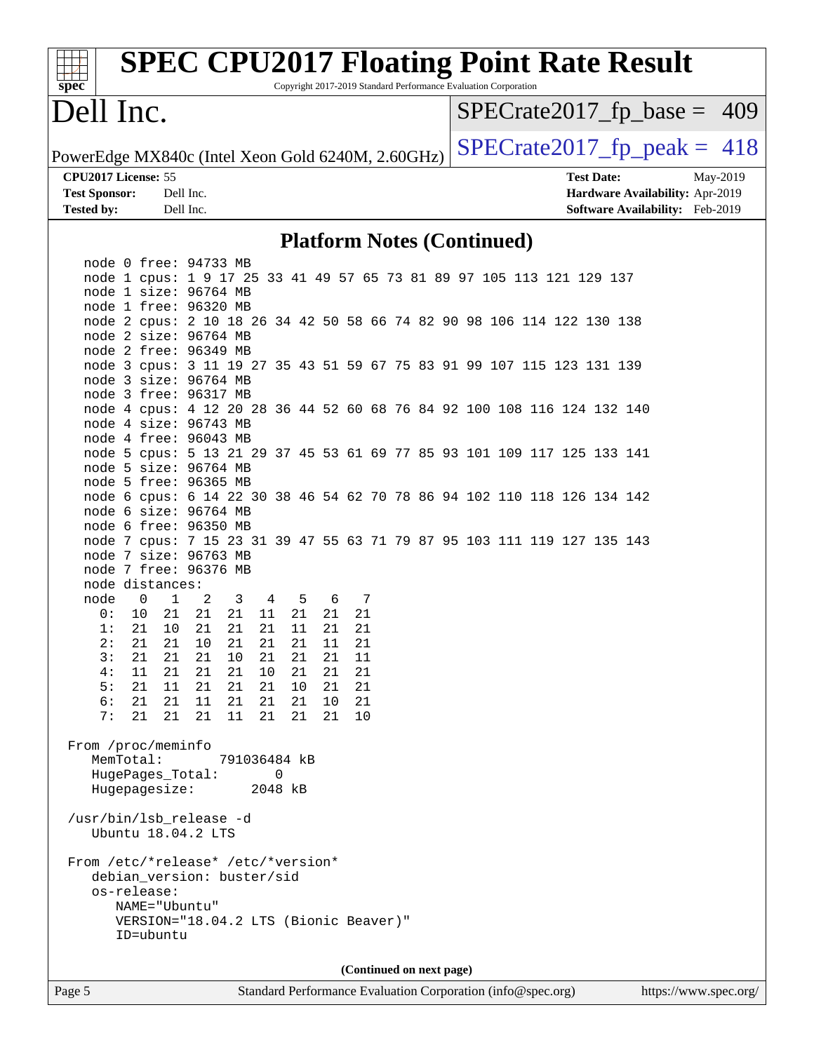| $spec^*$                                          |                                | <b>SPEC CPU2017 Floating Point Rate Result</b>                                                   |                                                             | Copyright 2017-2019 Standard Performance Evaluation Corporation |    |                          |  |  |  |  |                   |                                 |                    |          |
|---------------------------------------------------|--------------------------------|--------------------------------------------------------------------------------------------------|-------------------------------------------------------------|-----------------------------------------------------------------|----|--------------------------|--|--|--|--|-------------------|---------------------------------|--------------------|----------|
| Dell Inc.                                         |                                |                                                                                                  |                                                             |                                                                 |    |                          |  |  |  |  |                   | $SPECrate2017_fp\_base = 409$   |                    |          |
| PowerEdge MX840c (Intel Xeon Gold 6240M, 2.60GHz) |                                |                                                                                                  |                                                             |                                                                 |    |                          |  |  |  |  |                   | $SPECrate2017_fp\_peak = 418$   |                    |          |
| CPU2017 License: 55                               |                                |                                                                                                  |                                                             |                                                                 |    |                          |  |  |  |  | <b>Test Date:</b> |                                 |                    | May-2019 |
| <b>Test Sponsor:</b>                              |                                | Dell Inc.                                                                                        |                                                             |                                                                 |    |                          |  |  |  |  |                   | Hardware Availability: Apr-2019 |                    |          |
| <b>Tested by:</b>                                 |                                | Dell Inc.                                                                                        |                                                             |                                                                 |    |                          |  |  |  |  |                   | Software Availability: Feb-2019 |                    |          |
|                                                   |                                |                                                                                                  |                                                             | <b>Platform Notes (Continued)</b>                               |    |                          |  |  |  |  |                   |                                 |                    |          |
|                                                   |                                | node 0 free: 94733 MB                                                                            |                                                             |                                                                 |    |                          |  |  |  |  |                   |                                 |                    |          |
|                                                   |                                | node 1 cpus: 1 9 17 25 33 41 49 57 65 73 81 89 97 105 113 121 129 137                            |                                                             |                                                                 |    |                          |  |  |  |  |                   |                                 |                    |          |
|                                                   |                                | node 1 size: 96764 MB                                                                            |                                                             |                                                                 |    |                          |  |  |  |  |                   |                                 |                    |          |
|                                                   |                                | node 1 free: 96320 MB                                                                            |                                                             |                                                                 |    |                          |  |  |  |  |                   |                                 |                    |          |
|                                                   |                                | node 2 cpus: 2 10 18 26 34 42 50 58 66 74 82 90 98 106 114 122 130 138                           |                                                             |                                                                 |    |                          |  |  |  |  |                   |                                 |                    |          |
|                                                   |                                | node 2 size: 96764 MB                                                                            |                                                             |                                                                 |    |                          |  |  |  |  |                   |                                 |                    |          |
|                                                   |                                | node 2 free: 96349 MB                                                                            |                                                             |                                                                 |    |                          |  |  |  |  |                   |                                 |                    |          |
|                                                   |                                | node 3 cpus: 3 11 19 27 35 43 51 59 67 75 83 91 99 107 115 123 131 139                           |                                                             |                                                                 |    |                          |  |  |  |  |                   |                                 |                    |          |
|                                                   |                                | node 3 size: 96764 MB                                                                            |                                                             |                                                                 |    |                          |  |  |  |  |                   |                                 |                    |          |
|                                                   |                                | node 3 free: 96317 MB                                                                            |                                                             |                                                                 |    |                          |  |  |  |  |                   |                                 |                    |          |
|                                                   |                                | node 4 cpus: 4 12 20 28 36 44 52 60 68 76 84 92 100 108 116 124 132 140                          |                                                             |                                                                 |    |                          |  |  |  |  |                   |                                 |                    |          |
|                                                   |                                | node 4 size: 96743 MB                                                                            |                                                             |                                                                 |    |                          |  |  |  |  |                   |                                 |                    |          |
|                                                   |                                | node 4 free: 96043 MB                                                                            |                                                             |                                                                 |    |                          |  |  |  |  |                   |                                 |                    |          |
|                                                   |                                | node 5 cpus: 5 13 21 29 37 45 53 61 69 77 85 93 101 109 117 125 133 141<br>node 5 size: 96764 MB |                                                             |                                                                 |    |                          |  |  |  |  |                   |                                 |                    |          |
|                                                   |                                | node 5 free: 96365 MB                                                                            |                                                             |                                                                 |    |                          |  |  |  |  |                   |                                 |                    |          |
|                                                   |                                | node 6 cpus: 6 14 22 30 38 46 54 62 70 78 86 94 102 110 118 126 134 142                          |                                                             |                                                                 |    |                          |  |  |  |  |                   |                                 |                    |          |
|                                                   |                                | node 6 size: 96764 MB                                                                            |                                                             |                                                                 |    |                          |  |  |  |  |                   |                                 |                    |          |
|                                                   |                                | node 6 free: 96350 MB                                                                            |                                                             |                                                                 |    |                          |  |  |  |  |                   |                                 |                    |          |
|                                                   |                                | node 7 cpus: 7 15 23 31 39 47 55 63 71 79 87 95 103 111 119 127 135 143                          |                                                             |                                                                 |    |                          |  |  |  |  |                   |                                 |                    |          |
|                                                   |                                | node 7 size: 96763 MB                                                                            |                                                             |                                                                 |    |                          |  |  |  |  |                   |                                 |                    |          |
|                                                   |                                | node 7 free: 96376 MB                                                                            |                                                             |                                                                 |    |                          |  |  |  |  |                   |                                 |                    |          |
|                                                   | node distances:                |                                                                                                  |                                                             |                                                                 |    |                          |  |  |  |  |                   |                                 |                    |          |
| node                                              | $\overline{1}$<br>$\mathbf{0}$ | 2<br>3                                                                                           | 4                                                           | 5                                                               | 6  | 7                        |  |  |  |  |                   |                                 |                    |          |
| 0 :                                               | 21<br>10                       | 21<br>21                                                                                         | 11                                                          | 21                                                              | 21 | 21                       |  |  |  |  |                   |                                 |                    |          |
| 1:                                                | 21<br>10                       | 21<br>21                                                                                         | 21                                                          | 11                                                              | 21 | 21                       |  |  |  |  |                   |                                 |                    |          |
| 2:                                                | 21<br>21                       | $10$<br>21                                                                                       | 21                                                          | 21                                                              | 11 | 21                       |  |  |  |  |                   |                                 |                    |          |
| 3:                                                | 21<br>21                       | 21<br>10                                                                                         | 21                                                          | 21                                                              | 21 | 11                       |  |  |  |  |                   |                                 |                    |          |
| 4 :                                               | 21<br>11                       | 21<br>21                                                                                         | 10 <sub>1</sub>                                             | 21                                                              | 21 | 21                       |  |  |  |  |                   |                                 |                    |          |
| 5:                                                | 21                             | 11 21<br>21                                                                                      | 21                                                          | 10                                                              | 21 | 21                       |  |  |  |  |                   |                                 |                    |          |
| 6 :                                               | 21                             | 21 11<br>- 21                                                                                    | 21                                                          | 21                                                              | 10 | 21                       |  |  |  |  |                   |                                 |                    |          |
| 7 :                                               | 21<br>21                       | 21<br>11                                                                                         | 21                                                          | 21                                                              | 21 | 10                       |  |  |  |  |                   |                                 |                    |          |
|                                                   |                                |                                                                                                  |                                                             |                                                                 |    |                          |  |  |  |  |                   |                                 |                    |          |
|                                                   | From /proc/meminfo             |                                                                                                  |                                                             |                                                                 |    |                          |  |  |  |  |                   |                                 |                    |          |
|                                                   | MemTotal:                      |                                                                                                  | 791036484 kB                                                |                                                                 |    |                          |  |  |  |  |                   |                                 |                    |          |
|                                                   | HugePages_Total:               |                                                                                                  | 0                                                           |                                                                 |    |                          |  |  |  |  |                   |                                 |                    |          |
|                                                   | Hugepagesize:                  |                                                                                                  | 2048 kB                                                     |                                                                 |    |                          |  |  |  |  |                   |                                 |                    |          |
|                                                   |                                |                                                                                                  |                                                             |                                                                 |    |                          |  |  |  |  |                   |                                 |                    |          |
|                                                   |                                | /usr/bin/lsb_release -d                                                                          |                                                             |                                                                 |    |                          |  |  |  |  |                   |                                 |                    |          |
|                                                   | Ubuntu 18.04.2 LTS             |                                                                                                  |                                                             |                                                                 |    |                          |  |  |  |  |                   |                                 |                    |          |
|                                                   |                                |                                                                                                  |                                                             |                                                                 |    |                          |  |  |  |  |                   |                                 |                    |          |
|                                                   |                                | From /etc/*release* /etc/*version*                                                               |                                                             |                                                                 |    |                          |  |  |  |  |                   |                                 |                    |          |
|                                                   |                                | debian_version: buster/sid                                                                       |                                                             |                                                                 |    |                          |  |  |  |  |                   |                                 |                    |          |
|                                                   | os-release:                    |                                                                                                  |                                                             |                                                                 |    |                          |  |  |  |  |                   |                                 |                    |          |
|                                                   | NAME="Ubuntu"                  | VERSION="18.04.2 LTS (Bionic Beaver)"                                                            |                                                             |                                                                 |    |                          |  |  |  |  |                   |                                 |                    |          |
|                                                   | ID=ubuntu                      |                                                                                                  |                                                             |                                                                 |    |                          |  |  |  |  |                   |                                 |                    |          |
|                                                   |                                |                                                                                                  |                                                             |                                                                 |    |                          |  |  |  |  |                   |                                 |                    |          |
|                                                   |                                |                                                                                                  |                                                             |                                                                 |    |                          |  |  |  |  |                   |                                 |                    |          |
|                                                   |                                |                                                                                                  |                                                             |                                                                 |    | (Continued on next page) |  |  |  |  |                   |                                 |                    |          |
| $D_{0}$ on $\zeta$                                |                                |                                                                                                  | Standard Darformance Evaluation Corneration (info@spee.org) |                                                                 |    |                          |  |  |  |  |                   |                                 | http://www.000.000 |          |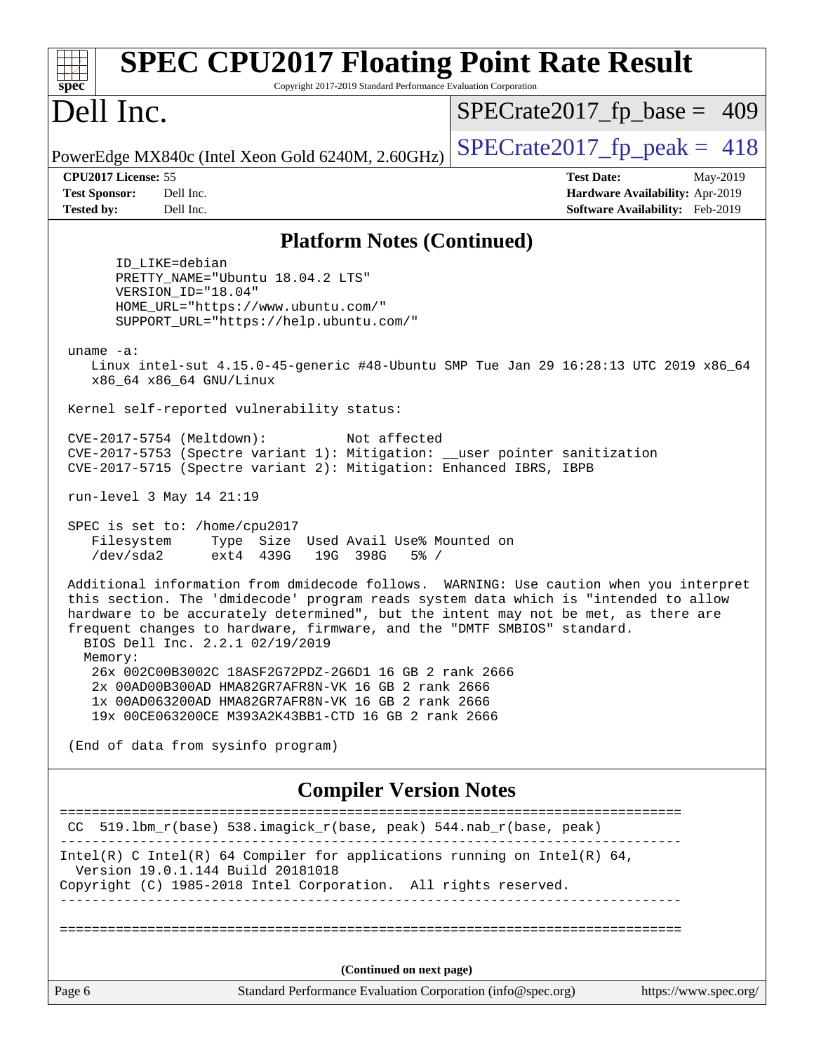| <b>SPEC CPU2017 Floating Point Rate Result</b><br>Copyright 2017-2019 Standard Performance Evaluation Corporation<br>spec <sup>®</sup>                                                                                                                                                                                                                                            |                                                                                                     |  |  |  |  |
|-----------------------------------------------------------------------------------------------------------------------------------------------------------------------------------------------------------------------------------------------------------------------------------------------------------------------------------------------------------------------------------|-----------------------------------------------------------------------------------------------------|--|--|--|--|
| Dell Inc.                                                                                                                                                                                                                                                                                                                                                                         | $SPECrate2017_fp\_base = 409$                                                                       |  |  |  |  |
| PowerEdge MX840c (Intel Xeon Gold 6240M, 2.60GHz)                                                                                                                                                                                                                                                                                                                                 | $SPECTate2017$ _fp_peak = 418                                                                       |  |  |  |  |
| CPU2017 License: 55<br><b>Test Sponsor:</b><br>Dell Inc.<br><b>Tested by:</b><br>Dell Inc.                                                                                                                                                                                                                                                                                        | <b>Test Date:</b><br>May-2019<br>Hardware Availability: Apr-2019<br>Software Availability: Feb-2019 |  |  |  |  |
| <b>Platform Notes (Continued)</b>                                                                                                                                                                                                                                                                                                                                                 |                                                                                                     |  |  |  |  |
| ID LIKE=debian<br>PRETTY_NAME="Ubuntu 18.04.2 LTS"<br>VERSION_ID="18.04"<br>HOME_URL="https://www.ubuntu.com/"<br>SUPPORT_URL="https://help.ubuntu.com/"<br>uname -a:                                                                                                                                                                                                             |                                                                                                     |  |  |  |  |
| Linux intel-sut 4.15.0-45-generic #48-Ubuntu SMP Tue Jan 29 16:28:13 UTC 2019 x86_64<br>x86_64 x86_64 GNU/Linux                                                                                                                                                                                                                                                                   |                                                                                                     |  |  |  |  |
| Kernel self-reported vulnerability status:                                                                                                                                                                                                                                                                                                                                        |                                                                                                     |  |  |  |  |
| CVE-2017-5754 (Meltdown):<br>Not affected<br>CVE-2017-5753 (Spectre variant 1): Mitigation: __user pointer sanitization<br>CVE-2017-5715 (Spectre variant 2): Mitigation: Enhanced IBRS, IBPB                                                                                                                                                                                     |                                                                                                     |  |  |  |  |
| run-level 3 May 14 21:19                                                                                                                                                                                                                                                                                                                                                          |                                                                                                     |  |  |  |  |
| SPEC is set to: /home/cpu2017<br>Type Size Used Avail Use% Mounted on<br>Filesystem<br>/dev/sda2<br>ext4 439G<br>19G 398G<br>$5\%$ /                                                                                                                                                                                                                                              |                                                                                                     |  |  |  |  |
| Additional information from dmidecode follows. WARNING: Use caution when you interpret<br>this section. The 'dmidecode' program reads system data which is "intended to allow<br>hardware to be accurately determined", but the intent may not be met, as there are<br>frequent changes to hardware, firmware, and the "DMTF SMBIOS" standard.<br>BIOS Dell Inc. 2.2.1 02/19/2019 |                                                                                                     |  |  |  |  |
| Memory:<br>26x 002C00B3002C 18ASF2G72PDZ-2G6D1 16 GB 2 rank 2666<br>2x 00AD00B300AD HMA82GR7AFR8N-VK 16 GB 2 rank 2666<br>1x 00AD063200AD HMA82GR7AFR8N-VK 16 GB 2 rank 2666<br>19x 00CE063200CE M393A2K43BB1-CTD 16 GB 2 rank 2666                                                                                                                                               |                                                                                                     |  |  |  |  |
| (End of data from sysinfo program)                                                                                                                                                                                                                                                                                                                                                |                                                                                                     |  |  |  |  |
| <b>Compiler Version Notes</b>                                                                                                                                                                                                                                                                                                                                                     |                                                                                                     |  |  |  |  |
| CC 519.1bm_r(base) 538.imagick_r(base, peak) 544.nab_r(base, peak)                                                                                                                                                                                                                                                                                                                | ======================                                                                              |  |  |  |  |
| $Intel(R)$ C Intel(R) 64 Compiler for applications running on Intel(R) 64,<br>Version 19.0.1.144 Build 20181018<br>Copyright (C) 1985-2018 Intel Corporation. All rights reserved.                                                                                                                                                                                                |                                                                                                     |  |  |  |  |
|                                                                                                                                                                                                                                                                                                                                                                                   |                                                                                                     |  |  |  |  |
| (Continued on next page)                                                                                                                                                                                                                                                                                                                                                          |                                                                                                     |  |  |  |  |
| Page 6<br>Standard Performance Evaluation Corporation (info@spec.org)                                                                                                                                                                                                                                                                                                             | https://www.spec.org/                                                                               |  |  |  |  |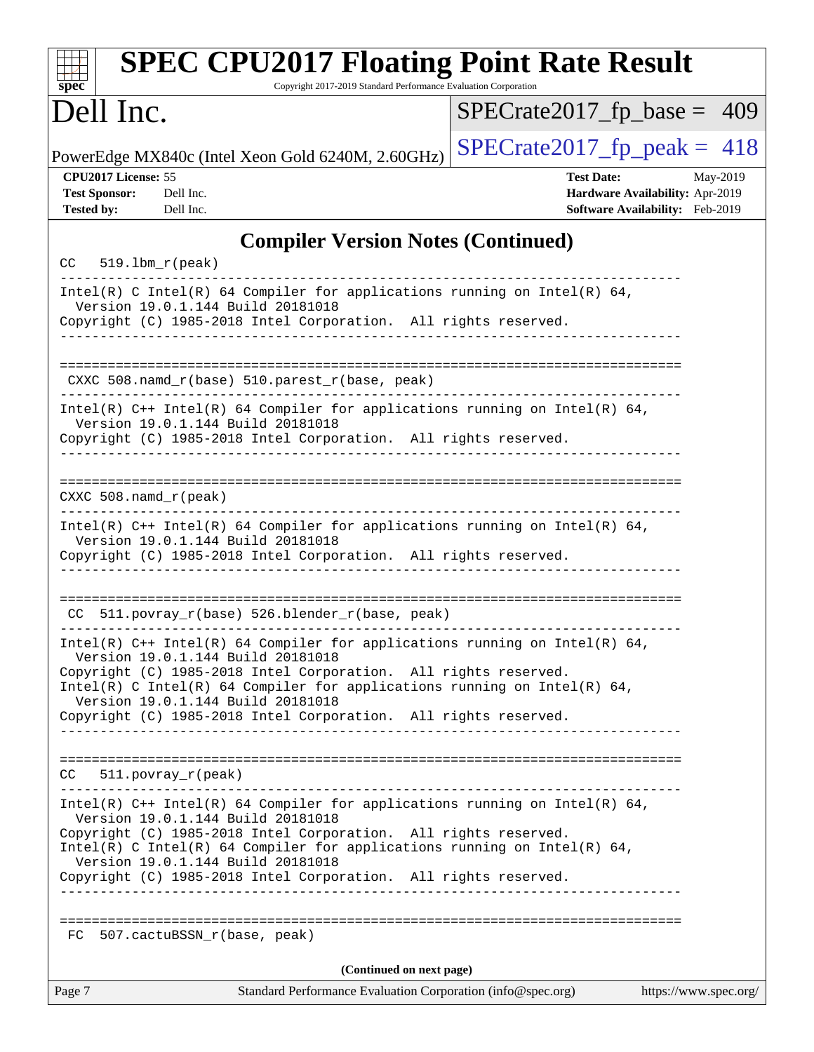| <b>SPEC CPU2017 Floating Point Rate Result</b><br>Copyright 2017-2019 Standard Performance Evaluation Corporation<br>$spec^*$                                                                                                                                                                                                                                            |          |
|--------------------------------------------------------------------------------------------------------------------------------------------------------------------------------------------------------------------------------------------------------------------------------------------------------------------------------------------------------------------------|----------|
| Dell Inc.<br>$SPECrate2017_fp\_base = 409$                                                                                                                                                                                                                                                                                                                               |          |
| $SPECrate2017_fp\_peak = 418$<br>PowerEdge MX840c (Intel Xeon Gold 6240M, 2.60GHz)                                                                                                                                                                                                                                                                                       |          |
| CPU2017 License: 55<br><b>Test Date:</b><br><b>Test Sponsor:</b><br>Dell Inc.<br>Hardware Availability: Apr-2019<br>Software Availability: Feb-2019<br><b>Tested by:</b><br>Dell Inc.                                                                                                                                                                                    | May-2019 |
| <b>Compiler Version Notes (Continued)</b>                                                                                                                                                                                                                                                                                                                                |          |
| $CC = 519.1bm_r (peak)$                                                                                                                                                                                                                                                                                                                                                  |          |
| Intel(R) C Intel(R) 64 Compiler for applications running on Intel(R) 64,<br>Version 19.0.1.144 Build 20181018<br>Copyright (C) 1985-2018 Intel Corporation. All rights reserved.                                                                                                                                                                                         |          |
| CXXC 508.namd_r(base) 510.parest_r(base, peak)                                                                                                                                                                                                                                                                                                                           |          |
| Intel(R) $C++$ Intel(R) 64 Compiler for applications running on Intel(R) 64,<br>Version 19.0.1.144 Build 20181018<br>Copyright (C) 1985-2018 Intel Corporation. All rights reserved.                                                                                                                                                                                     |          |
| $CXXC 508.namd_r (peak)$                                                                                                                                                                                                                                                                                                                                                 |          |
| Intel(R) $C++$ Intel(R) 64 Compiler for applications running on Intel(R) 64,<br>Version 19.0.1.144 Build 20181018<br>Copyright (C) 1985-2018 Intel Corporation. All rights reserved.                                                                                                                                                                                     |          |
| CC 511.povray_r(base) 526.blender_r(base, peak)                                                                                                                                                                                                                                                                                                                          |          |
| Intel(R) C++ Intel(R) 64 Compiler for applications running on Intel(R) 64,<br>Version 19.0.1.144 Build 20181018<br>Copyright (C) 1985-2018 Intel Corporation. All rights reserved.<br>Intel(R) C Intel(R) 64 Compiler for applications running on Intel(R) 64,<br>Version 19.0.1.144 Build 20181018<br>Copyright (C) 1985-2018 Intel Corporation. All rights reserved.   |          |
| CC<br>$511. povray_r (peak)$<br>_____________________________________                                                                                                                                                                                                                                                                                                    |          |
| Intel(R) $C++$ Intel(R) 64 Compiler for applications running on Intel(R) 64,<br>Version 19.0.1.144 Build 20181018<br>Copyright (C) 1985-2018 Intel Corporation. All rights reserved.<br>Intel(R) C Intel(R) 64 Compiler for applications running on Intel(R) 64,<br>Version 19.0.1.144 Build 20181018<br>Copyright (C) 1985-2018 Intel Corporation. All rights reserved. |          |
| 507.cactuBSSN_r(base, peak)<br>FC                                                                                                                                                                                                                                                                                                                                        |          |
| (Continued on next page)<br>Page 7<br>Standard Performance Evaluation Corporation (info@spec.org)<br>https://www.spec.org/                                                                                                                                                                                                                                               |          |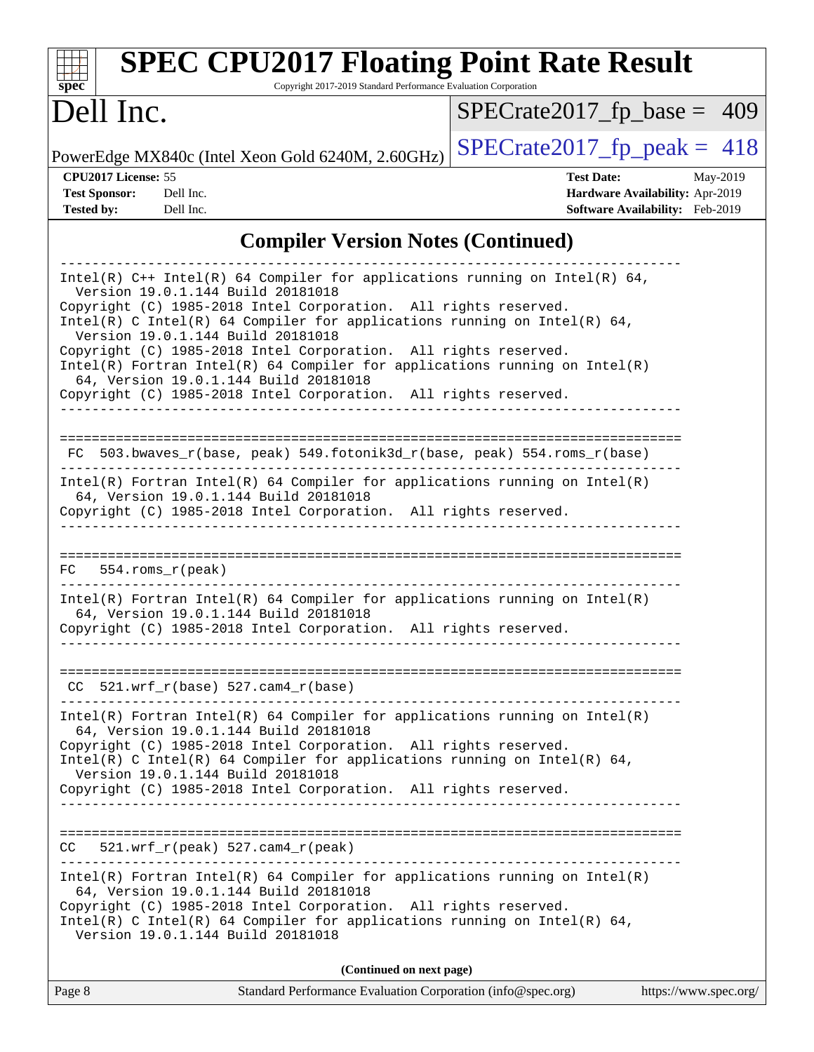| <b>SPEC CPU2017 Floating Point Rate Result</b><br>Copyright 2017-2019 Standard Performance Evaluation Corporation<br>spec                                                                                                                                                                                                                                                                                                                                                                                                                                            |                                                                                                     |
|----------------------------------------------------------------------------------------------------------------------------------------------------------------------------------------------------------------------------------------------------------------------------------------------------------------------------------------------------------------------------------------------------------------------------------------------------------------------------------------------------------------------------------------------------------------------|-----------------------------------------------------------------------------------------------------|
| Dell Inc.                                                                                                                                                                                                                                                                                                                                                                                                                                                                                                                                                            | $SPECrate2017_fp\_base = 409$                                                                       |
| PowerEdge MX840c (Intel Xeon Gold 6240M, 2.60GHz)                                                                                                                                                                                                                                                                                                                                                                                                                                                                                                                    | $SPECrate2017_fp\_peak = 418$                                                                       |
| CPU2017 License: 55<br><b>Test Sponsor:</b><br>Dell Inc.<br><b>Tested by:</b><br>Dell Inc.                                                                                                                                                                                                                                                                                                                                                                                                                                                                           | <b>Test Date:</b><br>May-2019<br>Hardware Availability: Apr-2019<br>Software Availability: Feb-2019 |
| <b>Compiler Version Notes (Continued)</b>                                                                                                                                                                                                                                                                                                                                                                                                                                                                                                                            |                                                                                                     |
| Intel(R) $C++$ Intel(R) 64 Compiler for applications running on Intel(R) 64,<br>Version 19.0.1.144 Build 20181018<br>Copyright (C) 1985-2018 Intel Corporation. All rights reserved.<br>Intel(R) C Intel(R) 64 Compiler for applications running on Intel(R) 64,<br>Version 19.0.1.144 Build 20181018<br>Copyright (C) 1985-2018 Intel Corporation. All rights reserved.<br>$Intel(R)$ Fortran Intel(R) 64 Compiler for applications running on Intel(R)<br>64, Version 19.0.1.144 Build 20181018<br>Copyright (C) 1985-2018 Intel Corporation. All rights reserved. |                                                                                                     |
| 503.bwaves_r(base, peak) 549.fotonik3d_r(base, peak) 554.roms_r(base)<br>FC<br>Intel(R) Fortran Intel(R) 64 Compiler for applications running on Intel(R)<br>64, Version 19.0.1.144 Build 20181018<br>Copyright (C) 1985-2018 Intel Corporation. All rights reserved.                                                                                                                                                                                                                                                                                                |                                                                                                     |
| $554.rows_r (peak)$<br>FC.<br>Intel(R) Fortran Intel(R) 64 Compiler for applications running on $Intel(R)$<br>64, Version 19.0.1.144 Build 20181018<br>Copyright (C) 1985-2018 Intel Corporation. All rights reserved.                                                                                                                                                                                                                                                                                                                                               |                                                                                                     |
| $CC$ 521.wrf_r(base) 527.cam4_r(base)<br>Intel(R) Fortran Intel(R) 64 Compiler for applications running on Intel(R)<br>64, Version 19.0.1.144 Build 20181018<br>Copyright (C) 1985-2018 Intel Corporation. All rights reserved.<br>Intel(R) C Intel(R) 64 Compiler for applications running on Intel(R) 64,<br>Version 19.0.1.144 Build 20181018<br>Copyright (C) 1985-2018 Intel Corporation. All rights reserved.                                                                                                                                                  |                                                                                                     |
| $CC = 521.wrf_r(peak) 527.cam4_r(peak)$<br>$Intel(R)$ Fortran Intel(R) 64 Compiler for applications running on Intel(R)<br>64, Version 19.0.1.144 Build 20181018<br>Copyright (C) 1985-2018 Intel Corporation. All rights reserved.<br>Intel(R) C Intel(R) 64 Compiler for applications running on Intel(R) 64,<br>Version 19.0.1.144 Build 20181018                                                                                                                                                                                                                 |                                                                                                     |
| (Continued on next page)                                                                                                                                                                                                                                                                                                                                                                                                                                                                                                                                             |                                                                                                     |

| Page 8 | Standard Performance Evaluation Corporation (info@spec.org) | https://www.spec.org/ |
|--------|-------------------------------------------------------------|-----------------------|
|        |                                                             |                       |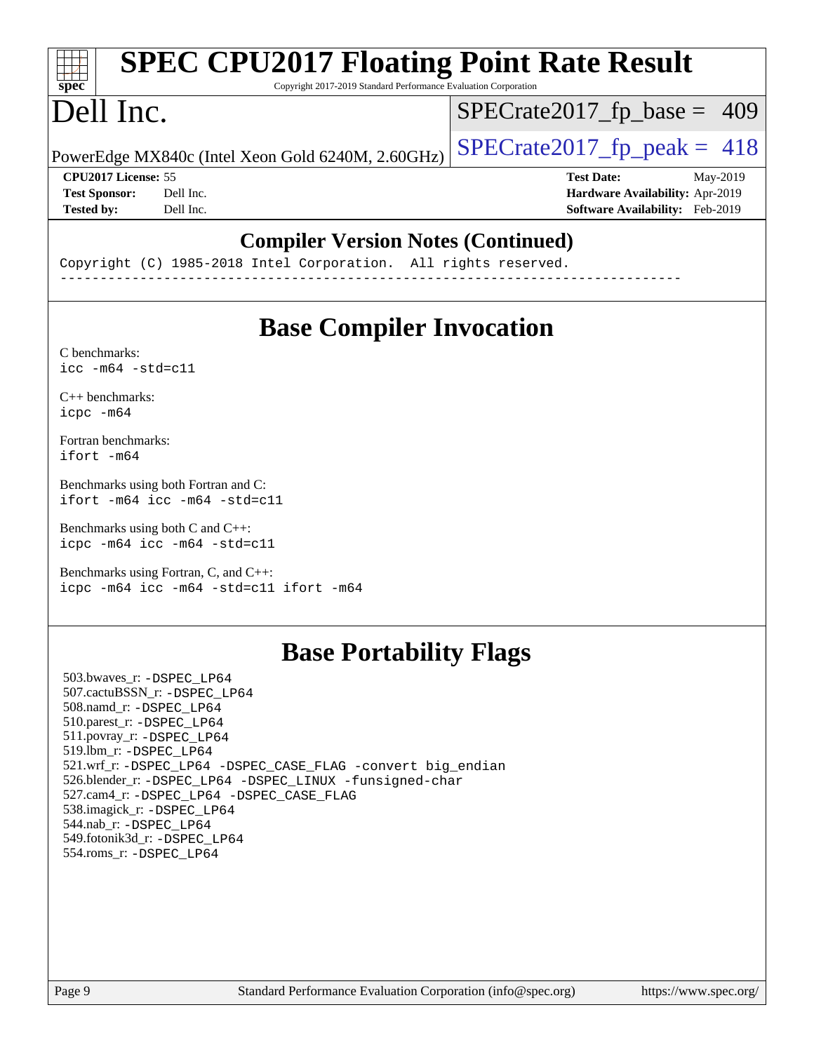| spec                       | <b>SPEC CPU2017 Floating Point Rate Result</b><br>Copyright 2017-2019 Standard Performance Evaluation Corporation |                                        |
|----------------------------|-------------------------------------------------------------------------------------------------------------------|----------------------------------------|
| Dell Inc.                  |                                                                                                                   | $SPECrate2017_fp\_base = 409$          |
|                            | PowerEdge MX840c (Intel Xeon Gold 6240M, 2.60GHz)                                                                 | $SPECrate2017_fp\_peak = 418$          |
| <b>CPU2017 License: 55</b> |                                                                                                                   | <b>Test Date:</b><br>May-2019          |
| <b>Test Sponsor:</b>       | Dell Inc.                                                                                                         | Hardware Availability: Apr-2019        |
| <b>Tested by:</b>          | Dell Inc.                                                                                                         | Software Availability: Feb-2019        |
|                            | $\sim$<br>. .                                                                                                     | $\mathbf{M}$ $\mathbf{M}$ $\mathbf{M}$ |

#### **[Compiler Version Notes \(Continued\)](http://www.spec.org/auto/cpu2017/Docs/result-fields.html#CompilerVersionNotes)**

Copyright (C) 1985-2018 Intel Corporation. All rights reserved. ------------------------------------------------------------------------------

## **[Base Compiler Invocation](http://www.spec.org/auto/cpu2017/Docs/result-fields.html#BaseCompilerInvocation)**

[C benchmarks](http://www.spec.org/auto/cpu2017/Docs/result-fields.html#Cbenchmarks): [icc -m64 -std=c11](http://www.spec.org/cpu2017/results/res2019q3/cpu2017-20190624-15397.flags.html#user_CCbase_intel_icc_64bit_c11_33ee0cdaae7deeeab2a9725423ba97205ce30f63b9926c2519791662299b76a0318f32ddfffdc46587804de3178b4f9328c46fa7c2b0cd779d7a61945c91cd35)

[C++ benchmarks:](http://www.spec.org/auto/cpu2017/Docs/result-fields.html#CXXbenchmarks) [icpc -m64](http://www.spec.org/cpu2017/results/res2019q3/cpu2017-20190624-15397.flags.html#user_CXXbase_intel_icpc_64bit_4ecb2543ae3f1412ef961e0650ca070fec7b7afdcd6ed48761b84423119d1bf6bdf5cad15b44d48e7256388bc77273b966e5eb805aefd121eb22e9299b2ec9d9)

[Fortran benchmarks](http://www.spec.org/auto/cpu2017/Docs/result-fields.html#Fortranbenchmarks): [ifort -m64](http://www.spec.org/cpu2017/results/res2019q3/cpu2017-20190624-15397.flags.html#user_FCbase_intel_ifort_64bit_24f2bb282fbaeffd6157abe4f878425411749daecae9a33200eee2bee2fe76f3b89351d69a8130dd5949958ce389cf37ff59a95e7a40d588e8d3a57e0c3fd751)

[Benchmarks using both Fortran and C](http://www.spec.org/auto/cpu2017/Docs/result-fields.html#BenchmarksusingbothFortranandC): [ifort -m64](http://www.spec.org/cpu2017/results/res2019q3/cpu2017-20190624-15397.flags.html#user_CC_FCbase_intel_ifort_64bit_24f2bb282fbaeffd6157abe4f878425411749daecae9a33200eee2bee2fe76f3b89351d69a8130dd5949958ce389cf37ff59a95e7a40d588e8d3a57e0c3fd751) [icc -m64 -std=c11](http://www.spec.org/cpu2017/results/res2019q3/cpu2017-20190624-15397.flags.html#user_CC_FCbase_intel_icc_64bit_c11_33ee0cdaae7deeeab2a9725423ba97205ce30f63b9926c2519791662299b76a0318f32ddfffdc46587804de3178b4f9328c46fa7c2b0cd779d7a61945c91cd35)

[Benchmarks using both C and C++](http://www.spec.org/auto/cpu2017/Docs/result-fields.html#BenchmarksusingbothCandCXX): [icpc -m64](http://www.spec.org/cpu2017/results/res2019q3/cpu2017-20190624-15397.flags.html#user_CC_CXXbase_intel_icpc_64bit_4ecb2543ae3f1412ef961e0650ca070fec7b7afdcd6ed48761b84423119d1bf6bdf5cad15b44d48e7256388bc77273b966e5eb805aefd121eb22e9299b2ec9d9) [icc -m64 -std=c11](http://www.spec.org/cpu2017/results/res2019q3/cpu2017-20190624-15397.flags.html#user_CC_CXXbase_intel_icc_64bit_c11_33ee0cdaae7deeeab2a9725423ba97205ce30f63b9926c2519791662299b76a0318f32ddfffdc46587804de3178b4f9328c46fa7c2b0cd779d7a61945c91cd35)

[Benchmarks using Fortran, C, and C++:](http://www.spec.org/auto/cpu2017/Docs/result-fields.html#BenchmarksusingFortranCandCXX) [icpc -m64](http://www.spec.org/cpu2017/results/res2019q3/cpu2017-20190624-15397.flags.html#user_CC_CXX_FCbase_intel_icpc_64bit_4ecb2543ae3f1412ef961e0650ca070fec7b7afdcd6ed48761b84423119d1bf6bdf5cad15b44d48e7256388bc77273b966e5eb805aefd121eb22e9299b2ec9d9) [icc -m64 -std=c11](http://www.spec.org/cpu2017/results/res2019q3/cpu2017-20190624-15397.flags.html#user_CC_CXX_FCbase_intel_icc_64bit_c11_33ee0cdaae7deeeab2a9725423ba97205ce30f63b9926c2519791662299b76a0318f32ddfffdc46587804de3178b4f9328c46fa7c2b0cd779d7a61945c91cd35) [ifort -m64](http://www.spec.org/cpu2017/results/res2019q3/cpu2017-20190624-15397.flags.html#user_CC_CXX_FCbase_intel_ifort_64bit_24f2bb282fbaeffd6157abe4f878425411749daecae9a33200eee2bee2fe76f3b89351d69a8130dd5949958ce389cf37ff59a95e7a40d588e8d3a57e0c3fd751)

## **[Base Portability Flags](http://www.spec.org/auto/cpu2017/Docs/result-fields.html#BasePortabilityFlags)**

 503.bwaves\_r: [-DSPEC\\_LP64](http://www.spec.org/cpu2017/results/res2019q3/cpu2017-20190624-15397.flags.html#suite_basePORTABILITY503_bwaves_r_DSPEC_LP64) 507.cactuBSSN\_r: [-DSPEC\\_LP64](http://www.spec.org/cpu2017/results/res2019q3/cpu2017-20190624-15397.flags.html#suite_basePORTABILITY507_cactuBSSN_r_DSPEC_LP64) 508.namd\_r: [-DSPEC\\_LP64](http://www.spec.org/cpu2017/results/res2019q3/cpu2017-20190624-15397.flags.html#suite_basePORTABILITY508_namd_r_DSPEC_LP64) 510.parest\_r: [-DSPEC\\_LP64](http://www.spec.org/cpu2017/results/res2019q3/cpu2017-20190624-15397.flags.html#suite_basePORTABILITY510_parest_r_DSPEC_LP64) 511.povray\_r: [-DSPEC\\_LP64](http://www.spec.org/cpu2017/results/res2019q3/cpu2017-20190624-15397.flags.html#suite_basePORTABILITY511_povray_r_DSPEC_LP64) 519.lbm\_r: [-DSPEC\\_LP64](http://www.spec.org/cpu2017/results/res2019q3/cpu2017-20190624-15397.flags.html#suite_basePORTABILITY519_lbm_r_DSPEC_LP64) 521.wrf\_r: [-DSPEC\\_LP64](http://www.spec.org/cpu2017/results/res2019q3/cpu2017-20190624-15397.flags.html#suite_basePORTABILITY521_wrf_r_DSPEC_LP64) [-DSPEC\\_CASE\\_FLAG](http://www.spec.org/cpu2017/results/res2019q3/cpu2017-20190624-15397.flags.html#b521.wrf_r_baseCPORTABILITY_DSPEC_CASE_FLAG) [-convert big\\_endian](http://www.spec.org/cpu2017/results/res2019q3/cpu2017-20190624-15397.flags.html#user_baseFPORTABILITY521_wrf_r_convert_big_endian_c3194028bc08c63ac5d04de18c48ce6d347e4e562e8892b8bdbdc0214820426deb8554edfa529a3fb25a586e65a3d812c835984020483e7e73212c4d31a38223) 526.blender\_r: [-DSPEC\\_LP64](http://www.spec.org/cpu2017/results/res2019q3/cpu2017-20190624-15397.flags.html#suite_basePORTABILITY526_blender_r_DSPEC_LP64) [-DSPEC\\_LINUX](http://www.spec.org/cpu2017/results/res2019q3/cpu2017-20190624-15397.flags.html#b526.blender_r_baseCPORTABILITY_DSPEC_LINUX) [-funsigned-char](http://www.spec.org/cpu2017/results/res2019q3/cpu2017-20190624-15397.flags.html#user_baseCPORTABILITY526_blender_r_force_uchar_40c60f00ab013830e2dd6774aeded3ff59883ba5a1fc5fc14077f794d777847726e2a5858cbc7672e36e1b067e7e5c1d9a74f7176df07886a243d7cc18edfe67) 527.cam4\_r: [-DSPEC\\_LP64](http://www.spec.org/cpu2017/results/res2019q3/cpu2017-20190624-15397.flags.html#suite_basePORTABILITY527_cam4_r_DSPEC_LP64) [-DSPEC\\_CASE\\_FLAG](http://www.spec.org/cpu2017/results/res2019q3/cpu2017-20190624-15397.flags.html#b527.cam4_r_baseCPORTABILITY_DSPEC_CASE_FLAG) 538.imagick\_r: [-DSPEC\\_LP64](http://www.spec.org/cpu2017/results/res2019q3/cpu2017-20190624-15397.flags.html#suite_basePORTABILITY538_imagick_r_DSPEC_LP64) 544.nab\_r: [-DSPEC\\_LP64](http://www.spec.org/cpu2017/results/res2019q3/cpu2017-20190624-15397.flags.html#suite_basePORTABILITY544_nab_r_DSPEC_LP64) 549.fotonik3d\_r: [-DSPEC\\_LP64](http://www.spec.org/cpu2017/results/res2019q3/cpu2017-20190624-15397.flags.html#suite_basePORTABILITY549_fotonik3d_r_DSPEC_LP64) 554.roms\_r: [-DSPEC\\_LP64](http://www.spec.org/cpu2017/results/res2019q3/cpu2017-20190624-15397.flags.html#suite_basePORTABILITY554_roms_r_DSPEC_LP64)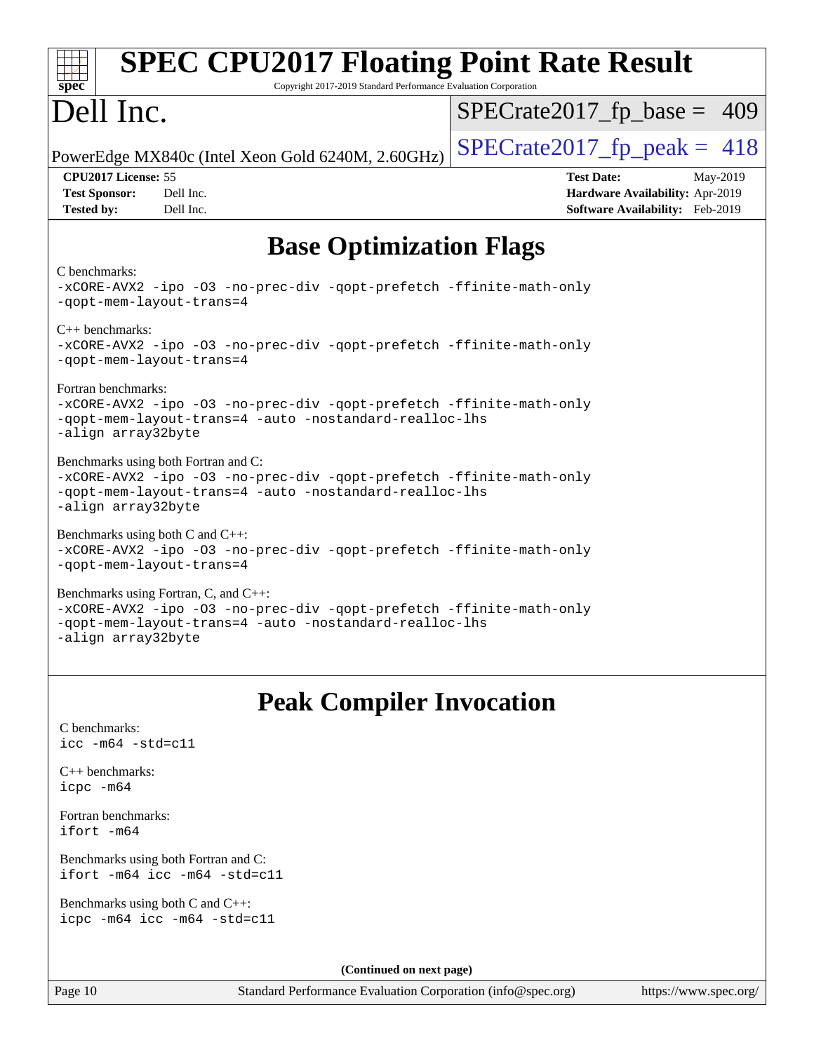| <b>SPEC CPU2017 Floating Point Rate Result</b>                                                                                                                                               |                                                                                                            |  |  |  |  |  |
|----------------------------------------------------------------------------------------------------------------------------------------------------------------------------------------------|------------------------------------------------------------------------------------------------------------|--|--|--|--|--|
| Copyright 2017-2019 Standard Performance Evaluation Corporation<br>$spec^*$                                                                                                                  |                                                                                                            |  |  |  |  |  |
| Dell Inc.                                                                                                                                                                                    | $SPECrate2017_fp\_base = 409$                                                                              |  |  |  |  |  |
| PowerEdge MX840c (Intel Xeon Gold 6240M, 2.60GHz)                                                                                                                                            | $SPECTate2017$ _fp_peak = 418                                                                              |  |  |  |  |  |
| CPU2017 License: 55<br><b>Test Sponsor:</b><br>Dell Inc.<br>Dell Inc.<br><b>Tested by:</b>                                                                                                   | <b>Test Date:</b><br>May-2019<br><b>Hardware Availability: Apr-2019</b><br>Software Availability: Feb-2019 |  |  |  |  |  |
| <b>Base Optimization Flags</b>                                                                                                                                                               |                                                                                                            |  |  |  |  |  |
| C benchmarks:<br>-xCORE-AVX2 -ipo -03 -no-prec-div -qopt-prefetch -ffinite-math-only<br>-qopt-mem-layout-trans=4                                                                             |                                                                                                            |  |  |  |  |  |
| $C_{++}$ benchmarks:<br>-xCORE-AVX2 -ipo -03 -no-prec-div -qopt-prefetch -ffinite-math-only<br>-qopt-mem-layout-trans=4                                                                      |                                                                                                            |  |  |  |  |  |
| Fortran benchmarks:<br>-xCORE-AVX2 -ipo -03 -no-prec-div -qopt-prefetch -ffinite-math-only<br>-gopt-mem-layout-trans=4 -auto -nostandard-realloc-lhs<br>-align array32byte                   |                                                                                                            |  |  |  |  |  |
| Benchmarks using both Fortran and C:<br>-xCORE-AVX2 -ipo -03 -no-prec-div -qopt-prefetch -ffinite-math-only<br>-qopt-mem-layout-trans=4 -auto -nostandard-realloc-lhs<br>-align array32byte  |                                                                                                            |  |  |  |  |  |
| Benchmarks using both $C$ and $C++$ :<br>-xCORE-AVX2 -ipo -03 -no-prec-div -qopt-prefetch -ffinite-math-only<br>-qopt-mem-layout-trans=4                                                     |                                                                                                            |  |  |  |  |  |
| Benchmarks using Fortran, C, and C++:<br>-xCORE-AVX2 -ipo -03 -no-prec-div -qopt-prefetch -ffinite-math-only<br>-qopt-mem-layout-trans=4 -auto -nostandard-realloc-lhs<br>-align array32byte |                                                                                                            |  |  |  |  |  |
| <b>Peak Compiler Invocation</b>                                                                                                                                                              |                                                                                                            |  |  |  |  |  |
| C benchmarks:<br>$\text{icc}$ -m64 -std=c11                                                                                                                                                  |                                                                                                            |  |  |  |  |  |
| $C_{++}$ benchmarks:<br>icpc -m64                                                                                                                                                            |                                                                                                            |  |  |  |  |  |
| Fortran benchmarks:<br>ifort -m64                                                                                                                                                            |                                                                                                            |  |  |  |  |  |
| Benchmarks using both Fortran and C:<br>ifort -m64 icc -m64 -std=c11                                                                                                                         |                                                                                                            |  |  |  |  |  |
| Benchmarks using both C and C++:<br>icpc -m64 icc -m64 -std=c11                                                                                                                              |                                                                                                            |  |  |  |  |  |

**(Continued on next page)**

Page 10 Standard Performance Evaluation Corporation [\(info@spec.org\)](mailto:info@spec.org) <https://www.spec.org/>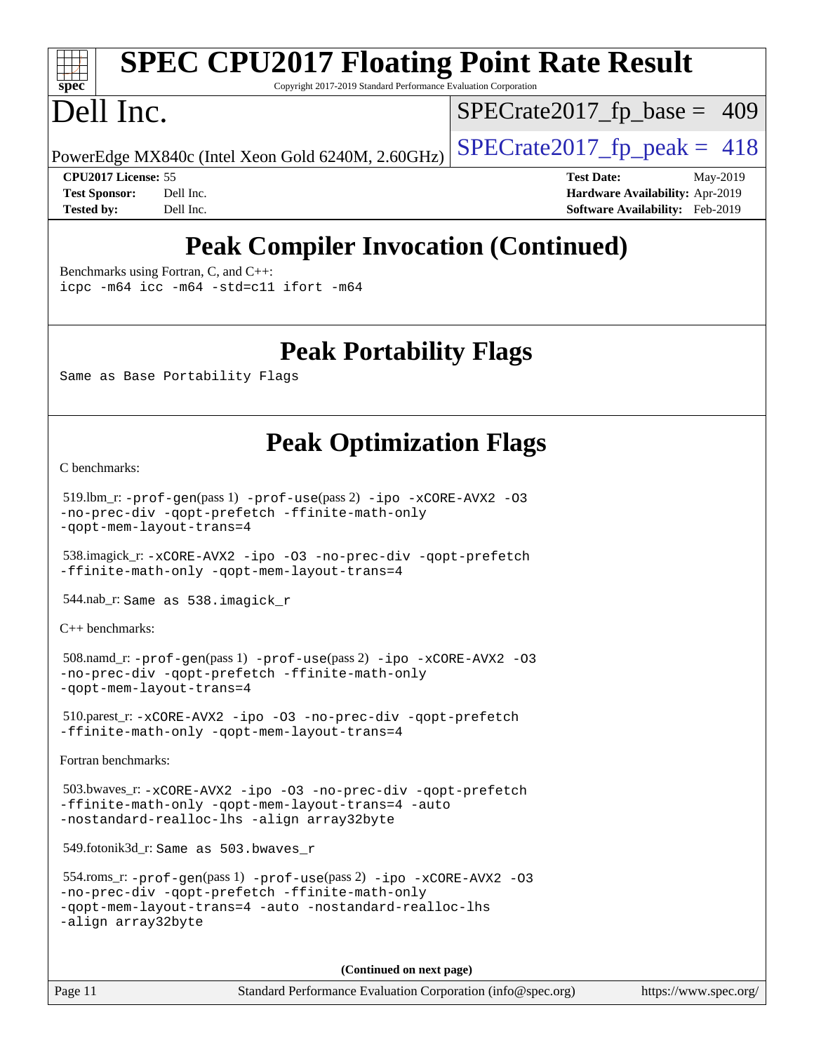# **[spec](http://www.spec.org/)**

# **[SPEC CPU2017 Floating Point Rate Result](http://www.spec.org/auto/cpu2017/Docs/result-fields.html#SPECCPU2017FloatingPointRateResult)**

Copyright 2017-2019 Standard Performance Evaluation Corporation

## Dell Inc.

 $SPECTate2017_fp\_base = 409$ 

PowerEdge MX840c (Intel Xeon Gold 6240M, 2.60GHz)  $\vert$  [SPECrate2017\\_fp\\_peak =](http://www.spec.org/auto/cpu2017/Docs/result-fields.html#SPECrate2017fppeak) 418

**[CPU2017 License:](http://www.spec.org/auto/cpu2017/Docs/result-fields.html#CPU2017License)** 55 **[Test Date:](http://www.spec.org/auto/cpu2017/Docs/result-fields.html#TestDate)** May-2019 **[Test Sponsor:](http://www.spec.org/auto/cpu2017/Docs/result-fields.html#TestSponsor)** Dell Inc. **[Hardware Availability:](http://www.spec.org/auto/cpu2017/Docs/result-fields.html#HardwareAvailability)** Apr-2019 **[Tested by:](http://www.spec.org/auto/cpu2017/Docs/result-fields.html#Testedby)** Dell Inc. **[Software Availability:](http://www.spec.org/auto/cpu2017/Docs/result-fields.html#SoftwareAvailability)** Feb-2019

## **[Peak Compiler Invocation \(Continued\)](http://www.spec.org/auto/cpu2017/Docs/result-fields.html#PeakCompilerInvocation)**

[Benchmarks using Fortran, C, and C++:](http://www.spec.org/auto/cpu2017/Docs/result-fields.html#BenchmarksusingFortranCandCXX)

[icpc -m64](http://www.spec.org/cpu2017/results/res2019q3/cpu2017-20190624-15397.flags.html#user_CC_CXX_FCpeak_intel_icpc_64bit_4ecb2543ae3f1412ef961e0650ca070fec7b7afdcd6ed48761b84423119d1bf6bdf5cad15b44d48e7256388bc77273b966e5eb805aefd121eb22e9299b2ec9d9) [icc -m64 -std=c11](http://www.spec.org/cpu2017/results/res2019q3/cpu2017-20190624-15397.flags.html#user_CC_CXX_FCpeak_intel_icc_64bit_c11_33ee0cdaae7deeeab2a9725423ba97205ce30f63b9926c2519791662299b76a0318f32ddfffdc46587804de3178b4f9328c46fa7c2b0cd779d7a61945c91cd35) [ifort -m64](http://www.spec.org/cpu2017/results/res2019q3/cpu2017-20190624-15397.flags.html#user_CC_CXX_FCpeak_intel_ifort_64bit_24f2bb282fbaeffd6157abe4f878425411749daecae9a33200eee2bee2fe76f3b89351d69a8130dd5949958ce389cf37ff59a95e7a40d588e8d3a57e0c3fd751)

### **[Peak Portability Flags](http://www.spec.org/auto/cpu2017/Docs/result-fields.html#PeakPortabilityFlags)**

Same as Base Portability Flags

## **[Peak Optimization Flags](http://www.spec.org/auto/cpu2017/Docs/result-fields.html#PeakOptimizationFlags)**

[C benchmarks](http://www.spec.org/auto/cpu2017/Docs/result-fields.html#Cbenchmarks):

```
 519.lbm_r: -prof-gen(pass 1) -prof-use(pass 2) -ipo -xCORE-AVX2 -O3
-no-prec-div -qopt-prefetch -ffinite-math-only
-qopt-mem-layout-trans=4
```
 538.imagick\_r: [-xCORE-AVX2](http://www.spec.org/cpu2017/results/res2019q3/cpu2017-20190624-15397.flags.html#user_peakCOPTIMIZE538_imagick_r_f-xCORE-AVX2) [-ipo](http://www.spec.org/cpu2017/results/res2019q3/cpu2017-20190624-15397.flags.html#user_peakCOPTIMIZE538_imagick_r_f-ipo) [-O3](http://www.spec.org/cpu2017/results/res2019q3/cpu2017-20190624-15397.flags.html#user_peakCOPTIMIZE538_imagick_r_f-O3) [-no-prec-div](http://www.spec.org/cpu2017/results/res2019q3/cpu2017-20190624-15397.flags.html#user_peakCOPTIMIZE538_imagick_r_f-no-prec-div) [-qopt-prefetch](http://www.spec.org/cpu2017/results/res2019q3/cpu2017-20190624-15397.flags.html#user_peakCOPTIMIZE538_imagick_r_f-qopt-prefetch) [-ffinite-math-only](http://www.spec.org/cpu2017/results/res2019q3/cpu2017-20190624-15397.flags.html#user_peakCOPTIMIZE538_imagick_r_f_finite_math_only_cb91587bd2077682c4b38af759c288ed7c732db004271a9512da14a4f8007909a5f1427ecbf1a0fb78ff2a814402c6114ac565ca162485bbcae155b5e4258871) [-qopt-mem-layout-trans=4](http://www.spec.org/cpu2017/results/res2019q3/cpu2017-20190624-15397.flags.html#user_peakCOPTIMIZE538_imagick_r_f-qopt-mem-layout-trans_fa39e755916c150a61361b7846f310bcdf6f04e385ef281cadf3647acec3f0ae266d1a1d22d972a7087a248fd4e6ca390a3634700869573d231a252c784941a8)

544.nab\_r: Same as 538.imagick\_r

[C++ benchmarks:](http://www.spec.org/auto/cpu2017/Docs/result-fields.html#CXXbenchmarks)

```
 508.namd_r: -prof-gen(pass 1) -prof-use(pass 2) -ipo -xCORE-AVX2 -O3
-no-prec-div -qopt-prefetch -ffinite-math-only
-qopt-mem-layout-trans=4
```

```
 510.parest_r: -xCORE-AVX2 -ipo -O3 -no-prec-div -qopt-prefetch
-ffinite-math-only -qopt-mem-layout-trans=4
```
[Fortran benchmarks](http://www.spec.org/auto/cpu2017/Docs/result-fields.html#Fortranbenchmarks):

```
 503.bwaves_r: -xCORE-AVX2 -ipo -O3 -no-prec-div -qopt-prefetch
-ffinite-math-only -qopt-mem-layout-trans=4 -auto
-nostandard-realloc-lhs -align array32byte
```
549.fotonik3d\_r: Same as 503.bwaves\_r

```
 554.roms_r: -prof-gen(pass 1) -prof-use(pass 2) -ipo -xCORE-AVX2 -O3
-no-prec-div -qopt-prefetch -ffinite-math-only
-qopt-mem-layout-trans=4 -auto -nostandard-realloc-lhs
-align array32byte
```
**(Continued on next page)**